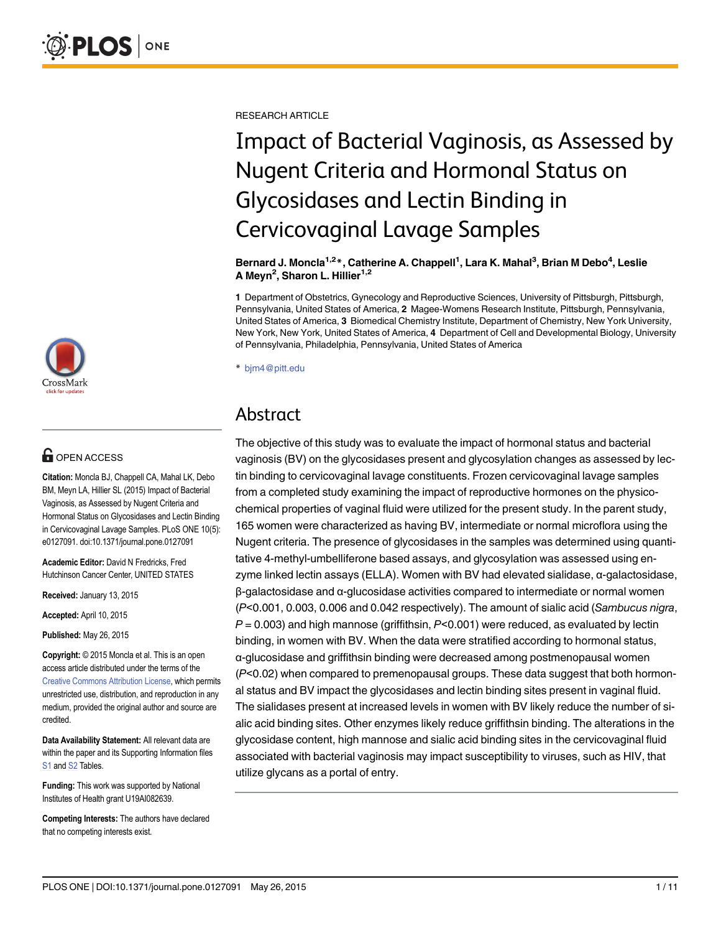

## **OPEN ACCESS**

Citation: Moncla BJ, Chappell CA, Mahal LK, Debo BM, Meyn LA, Hillier SL (2015) Impact of Bacterial Vaginosis, as Assessed by Nugent Criteria and Hormonal Status on Glycosidases and Lectin Binding in Cervicovaginal Lavage Samples. PLoS ONE 10(5): e0127091. doi:10.1371/journal.pone.0127091

Academic Editor: David N Fredricks, Fred Hutchinson Cancer Center, UNITED STATES

Received: January 13, 2015

Accepted: April 10, 2015

Published: May 26, 2015

Copyright: © 2015 Moncla et al. This is an open access article distributed under the terms of the [Creative Commons Attribution License,](http://creativecommons.org/licenses/by/4.0/) which permits unrestricted use, distribution, and reproduction in any medium, provided the original author and source are credited.

Data Availability Statement: All relevant data are within the paper and its Supporting Information files S<sub>1</sub> and S<sub>2</sub> Tables.

Funding: This work was supported by National Institutes of Health grant U19AI082639.

Competing Interests: The authors have declared that no competing interests exist.

RESEARCH ARTICLE

# Impact of Bacterial Vaginosis, as Assessed by Nugent Criteria and Hormonal Status on Glycosidases and Lectin Binding in Cervicovaginal Lavage Samples

Bernard J. Moncla<sup>1,2</sup>\*, Catherine A. Chappell<sup>1</sup>, Lara K. Mahal<sup>3</sup>, Brian M Debo<sup>4</sup>, Leslie A Meyn<sup>2</sup>, Sharon L. Hillier<sup>1,2</sup>

1 Department of Obstetrics, Gynecology and Reproductive Sciences, University of Pittsburgh, Pittsburgh, Pennsylvania, United States of America, 2 Magee-Womens Research Institute, Pittsburgh, Pennsylvania, United States of America, 3 Biomedical Chemistry Institute, Department of Chemistry, New York University, New York, New York, United States of America, 4 Department of Cell and Developmental Biology, University of Pennsylvania, Philadelphia, Pennsylvania, United States of America

\* bjm4@pitt.edu

## Abstract

The objective of this study was to evaluate the impact of hormonal status and bacterial vaginosis (BV) on the glycosidases present and glycosylation changes as assessed by lectin binding to cervicovaginal lavage constituents. Frozen cervicovaginal lavage samples from a completed study examining the impact of reproductive hormones on the physicochemical properties of vaginal fluid were utilized for the present study. In the parent study, 165 women were characterized as having BV, intermediate or normal microflora using the Nugent criteria. The presence of glycosidases in the samples was determined using quantitative 4-methyl-umbelliferone based assays, and glycosylation was assessed using enzyme linked lectin assays (ELLA). Women with BV had elevated sialidase, α-galactosidase, β-galactosidase and α-glucosidase activities compared to intermediate or normal women (P<0.001, 0.003, 0.006 and 0.042 respectively). The amount of sialic acid (Sambucus nigra,  $P = 0.003$ ) and high mannose (griffithsin,  $P < 0.001$ ) were reduced, as evaluated by lectin binding, in women with BV. When the data were stratified according to hormonal status, α-glucosidase and griffithsin binding were decreased among postmenopausal women (P<0.02) when compared to premenopausal groups. These data suggest that both hormonal status and BV impact the glycosidases and lectin binding sites present in vaginal fluid. The sialidases present at increased levels in women with BV likely reduce the number of sialic acid binding sites. Other enzymes likely reduce griffithsin binding. The alterations in the glycosidase content, high mannose and sialic acid binding sites in the cervicovaginal fluid associated with bacterial vaginosis may impact susceptibility to viruses, such as HIV, that utilize glycans as a portal of entry.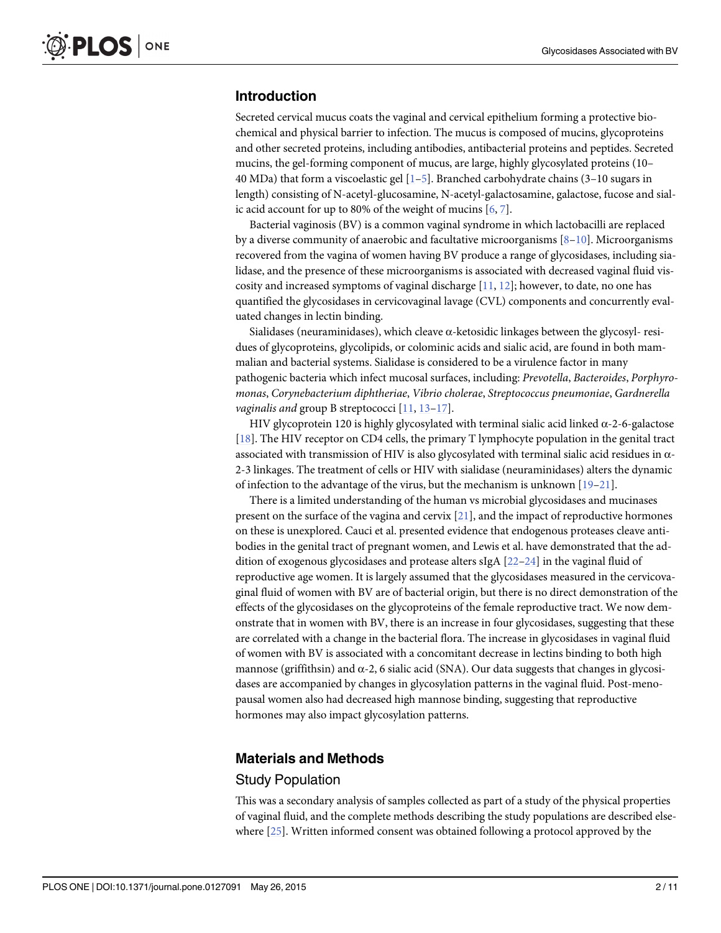#### <span id="page-1-0"></span>Introduction

Secreted cervical mucus coats the vaginal and cervical epithelium forming a protective biochemical and physical barrier to infection. The mucus is composed of mucins, glycoproteins and other secreted proteins, including antibodies, antibacterial proteins and peptides. Secreted mucins, the gel-forming component of mucus, are large, highly glycosylated proteins (10– 40 MDa) that form a viscoelastic gel  $[1–5]$  $[1–5]$  $[1–5]$ . Branched carbohydrate chains (3–10 sugars in length) consisting of N-acetyl-glucosamine, N-acetyl-galactosamine, galactose, fucose and sialic acid account for up to 80% of the weight of mucins  $[6, 7]$  $[6, 7]$  $[6, 7]$  $[6, 7]$ .

Bacterial vaginosis (BV) is a common vaginal syndrome in which lactobacilli are replaced by a diverse community of anaerobic and facultative microorganisms  $[8-10]$  $[8-10]$  $[8-10]$  $[8-10]$  $[8-10]$ . Microorganisms recovered from the vagina of women having BV produce a range of glycosidases, including sialidase, and the presence of these microorganisms is associated with decreased vaginal fluid viscosity and increased symptoms of vaginal discharge  $[11, 12]$  $[11, 12]$  $[11, 12]$  $[11, 12]$  $[11, 12]$ ; however, to date, no one has quantified the glycosidases in cervicovaginal lavage (CVL) components and concurrently evaluated changes in lectin binding.

Sialidases (neuraminidases), which cleave  $\alpha$ -ketosidic linkages between the glycosyl-residues of glycoproteins, glycolipids, or colominic acids and sialic acid, are found in both mammalian and bacterial systems. Sialidase is considered to be a virulence factor in many pathogenic bacteria which infect mucosal surfaces, including: Prevotella, Bacteroides, Porphyromonas, Corynebacterium diphtheriae, Vibrio cholerae, Streptococcus pneumoniae, Gardnerella vaginalis and group B streptococci [[11](#page-8-0), [13](#page-8-0)-[17](#page-8-0)].

HIV glycoprotein 120 is highly glycosylated with terminal sialic acid linked  $\alpha$ -2-6-galactose [\[18](#page-8-0)]. The HIV receptor on CD4 cells, the primary T lymphocyte population in the genital tract associated with transmission of HIV is also glycosylated with terminal sialic acid residues in α-2-3 linkages. The treatment of cells or HIV with sialidase (neuraminidases) alters the dynamic of infection to the advantage of the virus, but the mechanism is unknown  $[19-21]$  $[19-21]$  $[19-21]$ .

There is a limited understanding of the human vs microbial glycosidases and mucinases present on the surface of the vagina and cervix [[21](#page-8-0)], and the impact of reproductive hormones on these is unexplored. Cauci et al. presented evidence that endogenous proteases cleave antibodies in the genital tract of pregnant women, and Lewis et al. have demonstrated that the addition of exogenous glycosidases and protease alters sIgA [\[22](#page-8-0)–[24](#page-8-0)] in the vaginal fluid of reproductive age women. It is largely assumed that the glycosidases measured in the cervicovaginal fluid of women with BV are of bacterial origin, but there is no direct demonstration of the effects of the glycosidases on the glycoproteins of the female reproductive tract. We now demonstrate that in women with BV, there is an increase in four glycosidases, suggesting that these are correlated with a change in the bacterial flora. The increase in glycosidases in vaginal fluid of women with BV is associated with a concomitant decrease in lectins binding to both high mannose (griffithsin) and  $\alpha$ -2, 6 sialic acid (SNA). Our data suggests that changes in glycosidases are accompanied by changes in glycosylation patterns in the vaginal fluid. Post-menopausal women also had decreased high mannose binding, suggesting that reproductive hormones may also impact glycosylation patterns.

#### Materials and Methods

#### Study Population

This was a secondary analysis of samples collected as part of a study of the physical properties of vaginal fluid, and the complete methods describing the study populations are described elsewhere  $[25]$  $[25]$  $[25]$ . Written informed consent was obtained following a protocol approved by the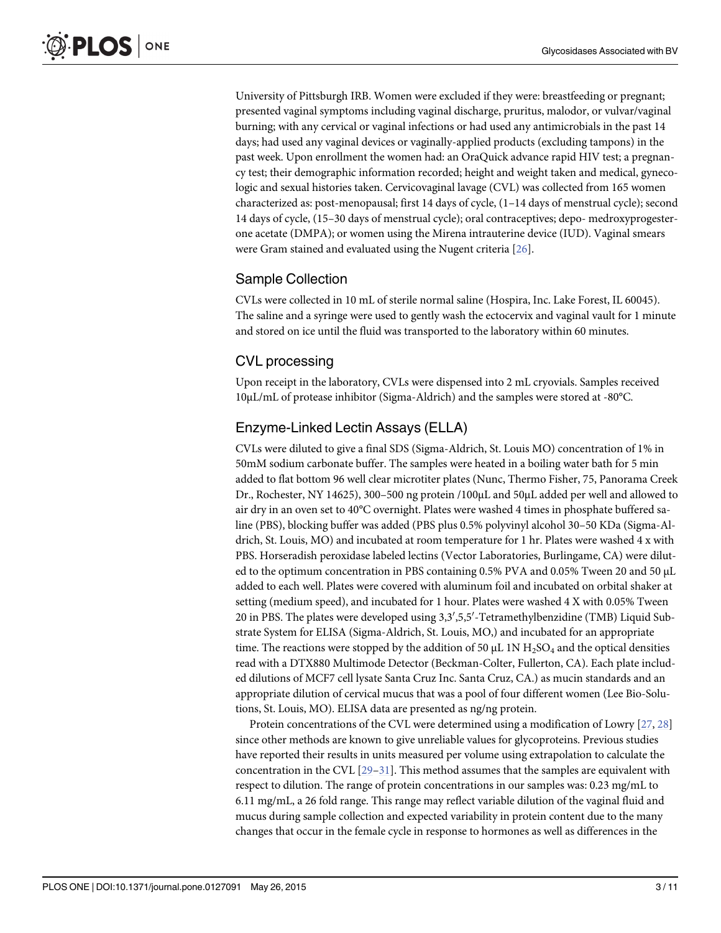<span id="page-2-0"></span>University of Pittsburgh IRB. Women were excluded if they were: breastfeeding or pregnant; presented vaginal symptoms including vaginal discharge, pruritus, malodor, or vulvar/vaginal burning; with any cervical or vaginal infections or had used any antimicrobials in the past 14 days; had used any vaginal devices or vaginally-applied products (excluding tampons) in the past week. Upon enrollment the women had: an OraQuick advance rapid HIV test; a pregnancy test; their demographic information recorded; height and weight taken and medical, gynecologic and sexual histories taken. Cervicovaginal lavage (CVL) was collected from 165 women characterized as: post-menopausal; first 14 days of cycle, (1–14 days of menstrual cycle); second 14 days of cycle, (15–30 days of menstrual cycle); oral contraceptives; depo- medroxyprogesterone acetate (DMPA); or women using the Mirena intrauterine device (IUD). Vaginal smears were Gram stained and evaluated using the Nugent criteria [\[26](#page-9-0)].

### Sample Collection

CVLs were collected in 10 mL of sterile normal saline (Hospira, Inc. Lake Forest, IL 60045). The saline and a syringe were used to gently wash the ectocervix and vaginal vault for 1 minute and stored on ice until the fluid was transported to the laboratory within 60 minutes.

### CVL processing

Upon receipt in the laboratory, CVLs were dispensed into 2 mL cryovials. Samples received 10μL/mL of protease inhibitor (Sigma-Aldrich) and the samples were stored at -80°C.

### Enzyme-Linked Lectin Assays (ELLA)

CVLs were diluted to give a final SDS (Sigma-Aldrich, St. Louis MO) concentration of 1% in 50mM sodium carbonate buffer. The samples were heated in a boiling water bath for 5 min added to flat bottom 96 well clear microtiter plates (Nunc, Thermo Fisher, 75, Panorama Creek Dr., Rochester, NY 14625), 300–500 ng protein /100μL and 50μL added per well and allowed to air dry in an oven set to 40°C overnight. Plates were washed 4 times in phosphate buffered saline (PBS), blocking buffer was added (PBS plus 0.5% polyvinyl alcohol 30–50 KDa (Sigma-Aldrich, St. Louis, MO) and incubated at room temperature for 1 hr. Plates were washed 4 x with PBS. Horseradish peroxidase labeled lectins (Vector Laboratories, Burlingame, CA) were diluted to the optimum concentration in PBS containing 0.5% PVA and 0.05% Tween 20 and 50 μL added to each well. Plates were covered with aluminum foil and incubated on orbital shaker at setting (medium speed), and incubated for 1 hour. Plates were washed 4 X with 0.05% Tween 20 in PBS. The plates were developed using 3,3',5,5'-Tetramethylbenzidine (TMB) Liquid Substrate System for ELISA (Sigma-Aldrich, St. Louis, MO,) and incubated for an appropriate time. The reactions were stopped by the addition of 50  $\mu$ L 1N H<sub>2</sub>SO<sub>4</sub> and the optical densities read with a DTX880 Multimode Detector (Beckman-Colter, Fullerton, CA). Each plate included dilutions of MCF7 cell lysate Santa Cruz Inc. Santa Cruz, CA.) as mucin standards and an appropriate dilution of cervical mucus that was a pool of four different women (Lee Bio-Solutions, St. Louis, MO). ELISA data are presented as ng/ng protein.

Protein concentrations of the CVL were determined using a modification of Lowry [[27](#page-9-0), [28](#page-9-0)] since other methods are known to give unreliable values for glycoproteins. Previous studies have reported their results in units measured per volume using extrapolation to calculate the concentration in the CVL  $[29-31]$  $[29-31]$  $[29-31]$  $[29-31]$ . This method assumes that the samples are equivalent with respect to dilution. The range of protein concentrations in our samples was: 0.23 mg/mL to 6.11 mg/mL, a 26 fold range. This range may reflect variable dilution of the vaginal fluid and mucus during sample collection and expected variability in protein content due to the many changes that occur in the female cycle in response to hormones as well as differences in the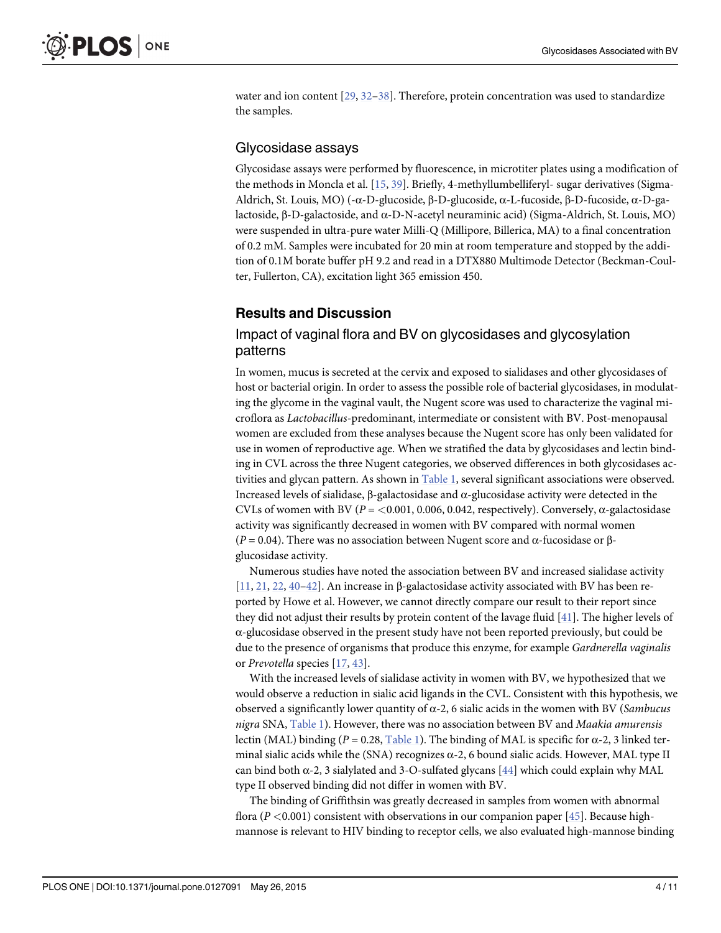<span id="page-3-0"></span>water and ion content  $[29, 32-38]$  $[29, 32-38]$  $[29, 32-38]$  $[29, 32-38]$  $[29, 32-38]$  $[29, 32-38]$ . Therefore, protein concentration was used to standardize the samples.

#### Glycosidase assays

Glycosidase assays were performed by fluorescence, in microtiter plates using a modification of the methods in Moncla et al. [\[15,](#page-8-0) [39\]](#page-9-0). Briefly, 4-methyllumbelliferyl- sugar derivatives (Sigma-Aldrich, St. Louis, MO) (-α-D-glucoside, β-D-glucoside, α-L-fucoside, β-D-fucoside, α-D-galactoside, β-D-galactoside, and α-D-N-acetyl neuraminic acid) (Sigma-Aldrich, St. Louis, MO) were suspended in ultra-pure water Milli-Q (Millipore, Billerica, MA) to a final concentration of 0.2 mM. Samples were incubated for 20 min at room temperature and stopped by the addition of 0.1M borate buffer pH 9.2 and read in a DTX880 Multimode Detector (Beckman-Coulter, Fullerton, CA), excitation light 365 emission 450.

#### Results and Discussion

#### Impact of vaginal flora and BV on glycosidases and glycosylation patterns

In women, mucus is secreted at the cervix and exposed to sialidases and other glycosidases of host or bacterial origin. In order to assess the possible role of bacterial glycosidases, in modulating the glycome in the vaginal vault, the Nugent score was used to characterize the vaginal microflora as Lactobacillus-predominant, intermediate or consistent with BV. Post-menopausal women are excluded from these analyses because the Nugent score has only been validated for use in women of reproductive age. When we stratified the data by glycosidases and lectin binding in CVL across the three Nugent categories, we observed differences in both glycosidases activities and glycan pattern. As shown in  $Table 1$ , several significant associations were observed. Increased levels of sialidase, β-galactosidase and α-glucosidase activity were detected in the CVLs of women with BV ( $P = 0.001, 0.006, 0.042$ , respectively). Conversely,  $\alpha$ -galactosidase activity was significantly decreased in women with BV compared with normal women ( $P = 0.04$ ). There was no association between Nugent score and α-fucosidase or βglucosidase activity.

Numerous studies have noted the association between BV and increased sialidase activity  $[11, 21, 22, 40-42]$  $[11, 21, 22, 40-42]$  $[11, 21, 22, 40-42]$  $[11, 21, 22, 40-42]$  $[11, 21, 22, 40-42]$  $[11, 21, 22, 40-42]$  $[11, 21, 22, 40-42]$  $[11, 21, 22, 40-42]$  $[11, 21, 22, 40-42]$ . An increase in β-galactosidase activity associated with BV has been reported by Howe et al. However, we cannot directly compare our result to their report since they did not adjust their results by protein content of the lavage fluid [[41](#page-9-0)]. The higher levels of α-glucosidase observed in the present study have not been reported previously, but could be due to the presence of organisms that produce this enzyme, for example Gardnerella vaginalis or Prevotella species [\[17,](#page-8-0) [43\]](#page-9-0).

With the increased levels of sialidase activity in women with BV, we hypothesized that we would observe a reduction in sialic acid ligands in the CVL. Consistent with this hypothesis, we observed a significantly lower quantity of  $\alpha$ -2, 6 sialic acids in the women with BV (Sambucus nigra SNA, [Table 1\)](#page-4-0). However, there was no association between BV and Maakia amurensis lectin (MAL) binding ( $P = 0.28$ , [Table 1\)](#page-4-0). The binding of MAL is specific for α-2, 3 linked terminal sialic acids while the (SNA) recognizes  $\alpha$ -2, 6 bound sialic acids. However, MAL type II can bind both  $\alpha$ -2, 3 sialylated and 3-O-sulfated glycans [[44](#page-10-0)] which could explain why MAL type II observed binding did not differ in women with BV.

The binding of Griffithsin was greatly decreased in samples from women with abnormal flora ( $P < 0.001$ ) consistent with observations in our companion paper [\[45\]](#page-10-0). Because highmannose is relevant to HIV binding to receptor cells, we also evaluated high-mannose binding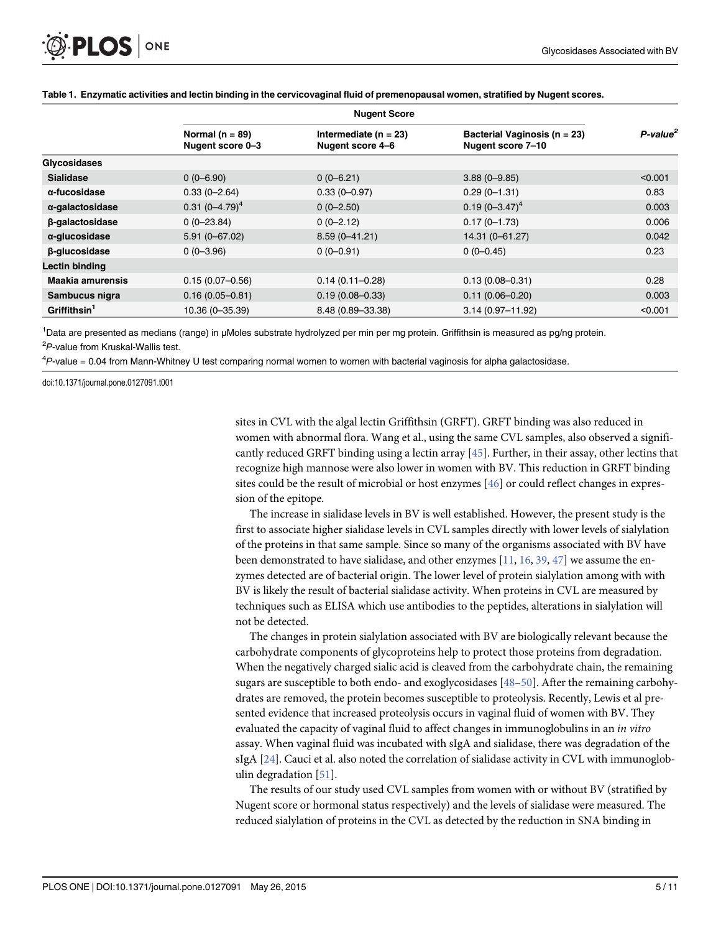|                          | <b>Nugent Score</b>                     |                                               |                                                   |                         |  |  |  |
|--------------------------|-----------------------------------------|-----------------------------------------------|---------------------------------------------------|-------------------------|--|--|--|
|                          | Normal ( $n = 89$ )<br>Nugent score 0-3 | Intermediate ( $n = 23$ )<br>Nugent score 4-6 | Bacterial Vaginosis (n = 23)<br>Nugent score 7-10 | $P$ -value <sup>2</sup> |  |  |  |
| <b>Glycosidases</b>      |                                         |                                               |                                                   |                         |  |  |  |
| <b>Sialidase</b>         | $0(0-6.90)$                             | $0(0-6.21)$                                   | $3.88(0 - 9.85)$                                  | < 0.001                 |  |  |  |
| α-fucosidase             | $0.33(0 - 2.64)$                        | $0.33(0 - 0.97)$                              | $0.29(0-1.31)$                                    | 0.83                    |  |  |  |
| α-galactosidase          | 0.31 $(0-4.79)^4$                       | $0(0-2.50)$                                   | $0.19(0 - 3.47)^4$                                | 0.003                   |  |  |  |
| β-galactosidase          | $0(0-23.84)$                            | $0(0-2.12)$                                   | $0.17(0 - 1.73)$                                  | 0.006                   |  |  |  |
| α-glucosidase            | $5.91(0 - 67.02)$                       | $8.59(0 - 41.21)$                             | 14.31 (0-61.27)                                   | 0.042                   |  |  |  |
| β-glucosidase            | $0(0-3.96)$                             | $0(0-0.91)$                                   | $0(0-0.45)$                                       | 0.23                    |  |  |  |
| Lectin binding           |                                         |                                               |                                                   |                         |  |  |  |
| Maakia amurensis         | $0.15(0.07 - 0.56)$                     | $0.14(0.11 - 0.28)$                           | $0.13(0.08 - 0.31)$                               | 0.28                    |  |  |  |
| Sambucus nigra           | $0.16(0.05 - 0.81)$                     | $0.19(0.08 - 0.33)$                           | $0.11(0.06 - 0.20)$                               | 0.003                   |  |  |  |
| Griffithsin <sup>1</sup> | 10.36 (0-35.39)                         | 8.48 (0.89-33.38)                             | $3.14(0.97 - 11.92)$                              | < 0.001                 |  |  |  |

#### <span id="page-4-0"></span>[Table 1.](#page-3-0) Enzymatic activities and lectin binding in the cervicovaginal fluid of premenopausal women, stratified by Nugent scores.

1 Data are presented as medians (range) in μMoles substrate hydrolyzed per min per mg protein. Griffithsin is measured as pg/ng protein. <sup>2</sup>P-value from Kruskal-Wallis test.<br><sup>4</sup>Realise - 2.24 from Marc White

<sup>4</sup>P-value = 0.04 from Mann-Whitney U test comparing normal women to women with bacterial vaginosis for alpha galactosidase.

doi:10.1371/journal.pone.0127091.t001

sites in CVL with the algal lectin Griffithsin (GRFT). GRFT binding was also reduced in women with abnormal flora. Wang et al., using the same CVL samples, also observed a significantly reduced GRFT binding using a lectin array  $[45]$  $[45]$  $[45]$ . Further, in their assay, other lectins that recognize high mannose were also lower in women with BV. This reduction in GRFT binding sites could be the result of microbial or host enzymes [\[46](#page-10-0)] or could reflect changes in expression of the epitope.

The increase in sialidase levels in BV is well established. However, the present study is the first to associate higher sialidase levels in CVL samples directly with lower levels of sialylation of the proteins in that same sample. Since so many of the organisms associated with BV have been demonstrated to have sialidase, and other enzymes  $[11, 16, 39, 47]$  $[11, 16, 39, 47]$  $[11, 16, 39, 47]$  $[11, 16, 39, 47]$  $[11, 16, 39, 47]$  $[11, 16, 39, 47]$  $[11, 16, 39, 47]$  we assume the enzymes detected are of bacterial origin. The lower level of protein sialylation among with with BV is likely the result of bacterial sialidase activity. When proteins in CVL are measured by techniques such as ELISA which use antibodies to the peptides, alterations in sialylation will not be detected.

The changes in protein sialylation associated with BV are biologically relevant because the carbohydrate components of glycoproteins help to protect those proteins from degradation. When the negatively charged sialic acid is cleaved from the carbohydrate chain, the remaining sugars are susceptible to both endo- and exoglycosidases [[48](#page-10-0)–[50](#page-10-0)]. After the remaining carbohydrates are removed, the protein becomes susceptible to proteolysis. Recently, Lewis et al presented evidence that increased proteolysis occurs in vaginal fluid of women with BV. They evaluated the capacity of vaginal fluid to affect changes in immunoglobulins in an in vitro assay. When vaginal fluid was incubated with sIgA and sialidase, there was degradation of the sIgA [\[24\]](#page-8-0). Cauci et al. also noted the correlation of sialidase activity in CVL with immunoglobulin degradation [\[51\]](#page-10-0).

The results of our study used CVL samples from women with or without BV (stratified by Nugent score or hormonal status respectively) and the levels of sialidase were measured. The reduced sialylation of proteins in the CVL as detected by the reduction in SNA binding in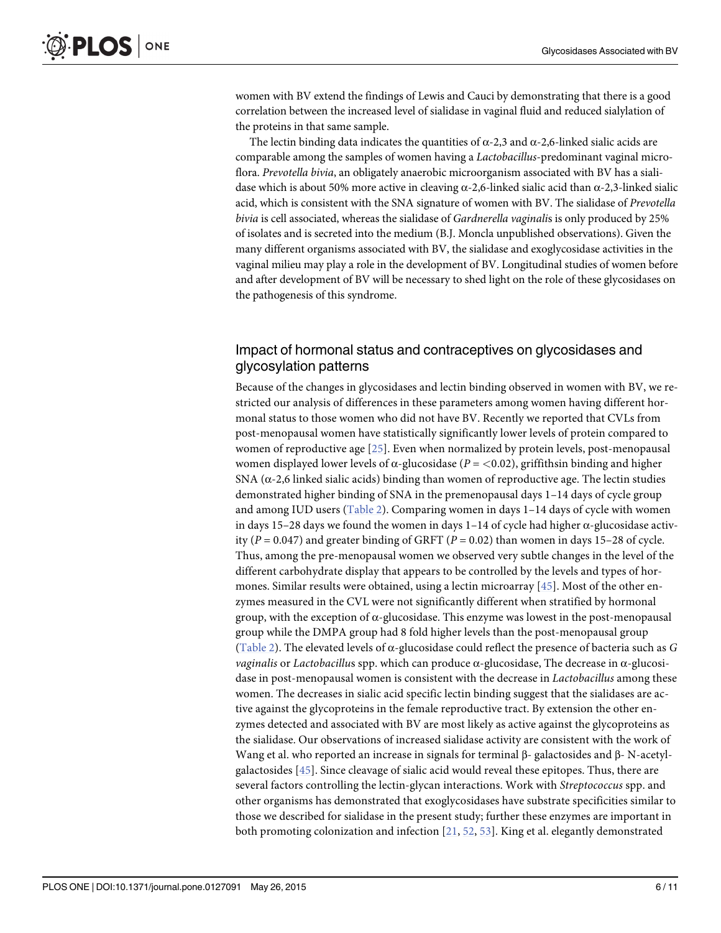<span id="page-5-0"></span>women with BV extend the findings of Lewis and Cauci by demonstrating that there is a good correlation between the increased level of sialidase in vaginal fluid and reduced sialylation of the proteins in that same sample.

The lectin binding data indicates the quantities of  $\alpha$ -2,3 and  $\alpha$ -2,6-linked sialic acids are comparable among the samples of women having a Lactobacillus-predominant vaginal microflora. Prevotella bivia, an obligately anaerobic microorganism associated with BV has a sialidase which is about 50% more active in cleaving  $\alpha$ -2,6-linked sialic acid than α-2,3-linked sialic acid, which is consistent with the SNA signature of women with BV. The sialidase of Prevotella bivia is cell associated, whereas the sialidase of Gardnerella vaginalis is only produced by 25% of isolates and is secreted into the medium (B.J. Moncla unpublished observations). Given the many different organisms associated with BV, the sialidase and exoglycosidase activities in the vaginal milieu may play a role in the development of BV. Longitudinal studies of women before and after development of BV will be necessary to shed light on the role of these glycosidases on the pathogenesis of this syndrome.

#### Impact of hormonal status and contraceptives on glycosidases and glycosylation patterns

Because of the changes in glycosidases and lectin binding observed in women with BV, we restricted our analysis of differences in these parameters among women having different hormonal status to those women who did not have BV. Recently we reported that CVLs from post-menopausal women have statistically significantly lower levels of protein compared to women of reproductive age [[25\]](#page-9-0). Even when normalized by protein levels, post-menopausal women displayed lower levels of  $\alpha$ -glucosidase ( $P = \langle 0.02 \rangle$ , griffithsin binding and higher SNA ( $\alpha$ -2,6 linked sialic acids) binding than women of reproductive age. The lectin studies demonstrated higher binding of SNA in the premenopausal days 1–14 days of cycle group and among IUD users  $(Table 2)$  $(Table 2)$ . Comparing women in days  $1-14$  days of cycle with women in days 15–28 days we found the women in days  $1-14$  of cycle had higher  $\alpha$ -glucosidase activity ( $P = 0.047$ ) and greater binding of GRFT ( $P = 0.02$ ) than women in days 15–28 of cycle. Thus, among the pre-menopausal women we observed very subtle changes in the level of the different carbohydrate display that appears to be controlled by the levels and types of hormones. Similar results were obtained, using a lectin microarray  $[45]$  $[45]$  $[45]$ . Most of the other enzymes measured in the CVL were not significantly different when stratified by hormonal group, with the exception of  $\alpha$ -glucosidase. This enzyme was lowest in the post-menopausal group while the DMPA group had 8 fold higher levels than the post-menopausal group ([Table 2](#page-6-0)). The elevated levels of  $\alpha$ -glucosidase could reflect the presence of bacteria such as G *vaginalis* or *Lactobacillus* spp. which can produce  $α$ -glucosidase, The decrease in  $α$ -glucosidase in post-menopausal women is consistent with the decrease in Lactobacillus among these women. The decreases in sialic acid specific lectin binding suggest that the sialidases are active against the glycoproteins in the female reproductive tract. By extension the other enzymes detected and associated with BV are most likely as active against the glycoproteins as the sialidase. Our observations of increased sialidase activity are consistent with the work of Wang et al. who reported an increase in signals for terminal β- galactosides and β- N-acetylgalactosides [\[45](#page-10-0)]. Since cleavage of sialic acid would reveal these epitopes. Thus, there are several factors controlling the lectin-glycan interactions. Work with Streptococcus spp. and other organisms has demonstrated that exoglycosidases have substrate specificities similar to those we described for sialidase in the present study; further these enzymes are important in both promoting colonization and infection  $[21, 52, 53]$  $[21, 52, 53]$  $[21, 52, 53]$  $[21, 52, 53]$  $[21, 52, 53]$  $[21, 52, 53]$  $[21, 52, 53]$ . King et al. elegantly demonstrated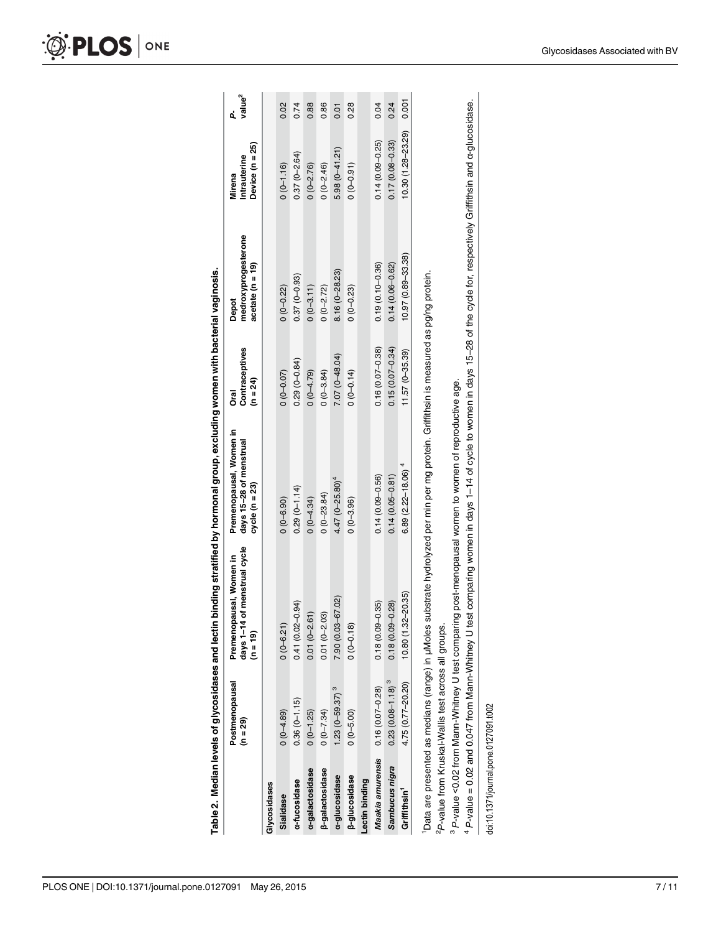|                          | Table 2. Median levels of glycosidases and lectin                |                                                                                                                                                                                                                                                                                                                                                                                                                                                | binding stratified by hormonal group, excluding women with bacterial vaginosis. |                                       |                                                  |                                           |                         |
|--------------------------|------------------------------------------------------------------|------------------------------------------------------------------------------------------------------------------------------------------------------------------------------------------------------------------------------------------------------------------------------------------------------------------------------------------------------------------------------------------------------------------------------------------------|---------------------------------------------------------------------------------|---------------------------------------|--------------------------------------------------|-------------------------------------------|-------------------------|
|                          | Postmenopausal<br>(n = 29)                                       | of menstrual cycle<br>Premenopausal, Women in<br>days $1-14$<br>$(n = 19)$                                                                                                                                                                                                                                                                                                                                                                     | Premenopausal, Women in<br>days 15-28 of menstrual<br>cycle (n = 23)            | Contraceptives<br>(n = 24)<br>ក<br>កំ | medroxyprogesterone<br>acetate (n = 19)<br>Depot | Device (n = 25)<br>Intrauterine<br>Mirena | value <sup>2</sup><br>ፈ |
| Glycosidases             |                                                                  |                                                                                                                                                                                                                                                                                                                                                                                                                                                |                                                                                 |                                       |                                                  |                                           |                         |
| Sialidase                | $0(0-4.89)$                                                      | $0(0 - 6.21)$                                                                                                                                                                                                                                                                                                                                                                                                                                  | $0(0 - 6.90)$                                                                   | $0(0 - 0.07)$                         | $0(0 - 0.22)$                                    | $0(0-1.16)$                               | 0.02                    |
| a-fucosidase             | $0.36(0-1.15)$                                                   | $0.41(0.02 - 0.94)$                                                                                                                                                                                                                                                                                                                                                                                                                            | $0.29(0 - 1.14)$                                                                | $0.29(0 - 0.84)$                      | $0.37(0-0.93)$                                   | $0.37(0 - 2.64)$                          | 0.74                    |
| a-galactosidase          | $0(0-1.25)$                                                      | $0.01(0 - 2.61)$                                                                                                                                                                                                                                                                                                                                                                                                                               | $0(0-4.34)$                                                                     | $0(0-4.79)$                           | $0(0-3.11)$                                      | $0(0-2.76)$                               | 0.88                    |
| <b>β-galactosidase</b>   | $0(0-7.34)$                                                      | $0.01(0 - 2.03)$                                                                                                                                                                                                                                                                                                                                                                                                                               | $0(0-23.84)$                                                                    | $0(0-3.84)$                           | $0(0-2.72)$                                      | $0(0-2.46)$                               | 0.86                    |
| a-glucosidase            | $1.23(0 - 59.37)^3$                                              | 7.90 (0.03-67.02)                                                                                                                                                                                                                                                                                                                                                                                                                              | $4.47 (0 - 25.80)^4$                                                            | $7.07(0 - 48.04)$                     | $8.16(0 - 28.23)$                                | $5.98(0-41.21)$                           | 0.01                    |
| <b>β-glucosidase</b>     | $0(0-5.00)$                                                      | $0(0-0.18)$                                                                                                                                                                                                                                                                                                                                                                                                                                    | $0(0 - 3.96)$                                                                   | $0(0-0.14)$                           | $0(0-0.23)$                                      | $(0 - 0.91)$                              | 0.28                    |
| Lectin binding           |                                                                  |                                                                                                                                                                                                                                                                                                                                                                                                                                                |                                                                                 |                                       |                                                  |                                           |                         |
| Maakia amurensis         | $0.16(0.07 - 0.28)$                                              | 0.35)<br>$0.18(0.09 -$                                                                                                                                                                                                                                                                                                                                                                                                                         | $0.14(0.09 - 0.56)$                                                             | $0.16(0.07 - 0.38)$                   | $0.19(0.10 - 0.36)$                              | $0.14(0.09 - 0.25)$                       | 0.04                    |
| Sambucus nigra           | $0.23(0.08 - 1.18)^3$                                            | $0.18(0.09 - 0.28)$                                                                                                                                                                                                                                                                                                                                                                                                                            | $0.14(0.05 - 0.81)$                                                             | $0.15(0.07 - 0.34)$                   | $0.14(0.06 - 0.62)$                              | $0.17(0.08 - 0.33)$                       | 0.24                    |
| Griffithsin <sup>1</sup> | $4.75(0.77 - 20.20)$                                             | $-20.35$<br>10.80 (1.32-                                                                                                                                                                                                                                                                                                                                                                                                                       | $6.89(2.22 - 18.06)^4$                                                          | $11.57(0-35.39)$                      | $10.97(0.89 - 33.38)$                            | $10.30(1.28 - 23.29)$                     | 0.001                   |
|                          | <sup>2</sup> P-value from Kruskal-Wallis test across all groups. | 4 P-value = 0.02 and 0.047 from Mann-Whitney U test comparing women in days 1-14 of cycle to women in days 15-28 of the cycle for, respectively Griffithsin and α-glucosidase.<br>"Data are presented as medians (range) in µMoles substrate hydrolyzed per min per mg protein. Griffithsin is measured as pg/ng protein.<br><sup>3</sup> P-value <0.02 from Mann-Whitney U test comparing post-menopausal women to women of reproductive age. |                                                                                 |                                       |                                                  |                                           |                         |

<span id="page-6-0"></span>**OF PLOS** ONE

doi:10.1371/journal.pone.0127091.t002

doi:10.1371/journal.pone.0127091.t002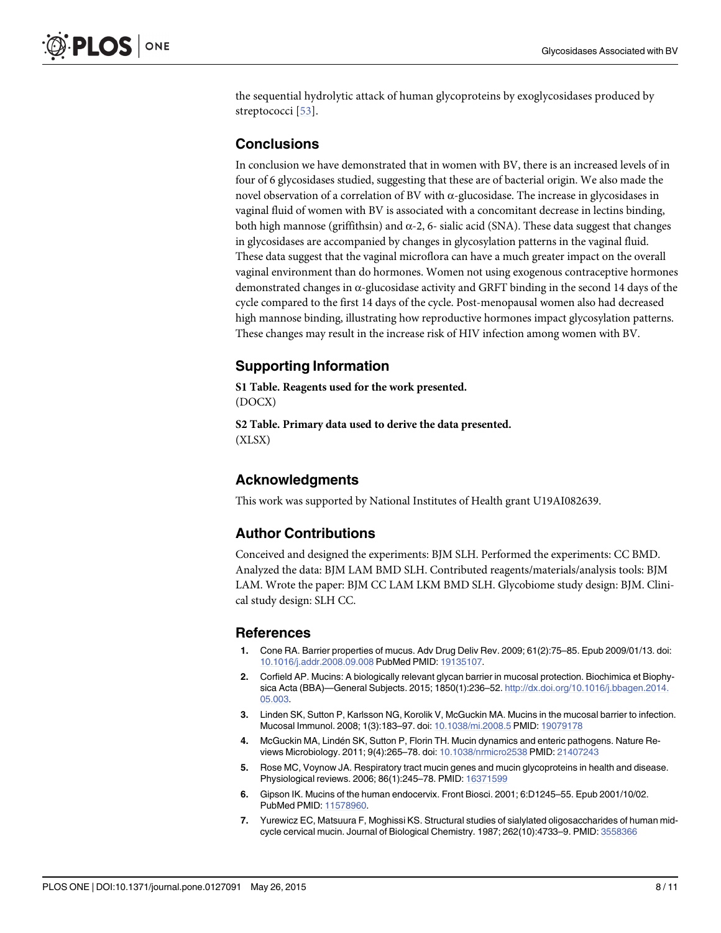<span id="page-7-0"></span>the sequential hydrolytic attack of human glycoproteins by exoglycosidases produced by streptococci [[53\]](#page-10-0).

#### **Conclusions**

In conclusion we have demonstrated that in women with BV, there is an increased levels of in four of 6 glycosidases studied, suggesting that these are of bacterial origin. We also made the novel observation of a correlation of BV with α-glucosidase. The increase in glycosidases in vaginal fluid of women with BV is associated with a concomitant decrease in lectins binding, both high mannose (griffithsin) and  $\alpha$ -2, 6- sialic acid (SNA). These data suggest that changes in glycosidases are accompanied by changes in glycosylation patterns in the vaginal fluid. These data suggest that the vaginal microflora can have a much greater impact on the overall vaginal environment than do hormones. Women not using exogenous contraceptive hormones demonstrated changes in  $\alpha$ -glucosidase activity and GRFT binding in the second 14 days of the cycle compared to the first 14 days of the cycle. Post-menopausal women also had decreased high mannose binding, illustrating how reproductive hormones impact glycosylation patterns. These changes may result in the increase risk of HIV infection among women with BV.

#### Supporting Information

[S1 Table](http://www.plosone.org/article/fetchSingleRepresentation.action?uri=info:doi/10.1371/journal.pone.0127091.s001). Reagents used for the work presented. (DOCX)

[S2 Table](http://www.plosone.org/article/fetchSingleRepresentation.action?uri=info:doi/10.1371/journal.pone.0127091.s002). Primary data used to derive the data presented. (XLSX)

#### Acknowledgments

This work was supported by National Institutes of Health grant U19AI082639.

#### Author Contributions

Conceived and designed the experiments: BJM SLH. Performed the experiments: CC BMD. Analyzed the data: BJM LAM BMD SLH. Contributed reagents/materials/analysis tools: BJM LAM. Wrote the paper: BJM CC LAM LKM BMD SLH. Glycobiome study design: BJM. Clinical study design: SLH CC.

#### References

- [1.](#page-1-0) Cone RA. Barrier properties of mucus. Adv Drug Deliv Rev. 2009; 61(2):75–85. Epub 2009/01/13. doi: [10.1016/j.addr.2008.09.008](http://dx.doi.org/10.1016/j.addr.2008.09.008) PubMed PMID: [19135107](http://www.ncbi.nlm.nih.gov/pubmed/19135107).
- 2. Corfield AP. Mucins: A biologically relevant glycan barrier in mucosal protection. Biochimica et Biophysica Acta (BBA)—General Subjects. 2015; 1850(1):236–52. [http://dx.doi.org/10.1016/j.bbagen.2014.](http://dx.doi.org/10.1016/j.bbagen.2014.05.003) [05.003](http://dx.doi.org/10.1016/j.bbagen.2014.05.003).
- 3. Linden SK, Sutton P, Karlsson NG, Korolik V, McGuckin MA. Mucins in the mucosal barrier to infection. Mucosal Immunol. 2008; 1(3):183–97. doi: [10.1038/mi.2008.5](http://dx.doi.org/10.1038/mi.2008.5) PMID: [19079178](http://www.ncbi.nlm.nih.gov/pubmed/19079178)
- 4. McGuckin MA, Lindén SK, Sutton P, Florin TH. Mucin dynamics and enteric pathogens. Nature Reviews Microbiology. 2011; 9(4):265–78. doi: [10.1038/nrmicro2538](http://dx.doi.org/10.1038/nrmicro2538) PMID: [21407243](http://www.ncbi.nlm.nih.gov/pubmed/21407243)
- [5.](#page-1-0) Rose MC, Voynow JA. Respiratory tract mucin genes and mucin glycoproteins in health and disease. Physiological reviews. 2006; 86(1):245–78. PMID: [16371599](http://www.ncbi.nlm.nih.gov/pubmed/16371599)
- [6.](#page-1-0) Gipson IK. Mucins of the human endocervix. Front Biosci. 2001; 6:D1245–55. Epub 2001/10/02. PubMed PMID: [11578960](http://www.ncbi.nlm.nih.gov/pubmed/11578960).
- [7.](#page-1-0) Yurewicz EC, Matsuura F, Moghissi KS. Structural studies of sialylated oligosaccharides of human midcycle cervical mucin. Journal of Biological Chemistry. 1987; 262(10):4733–9. PMID: [3558366](http://www.ncbi.nlm.nih.gov/pubmed/3558366)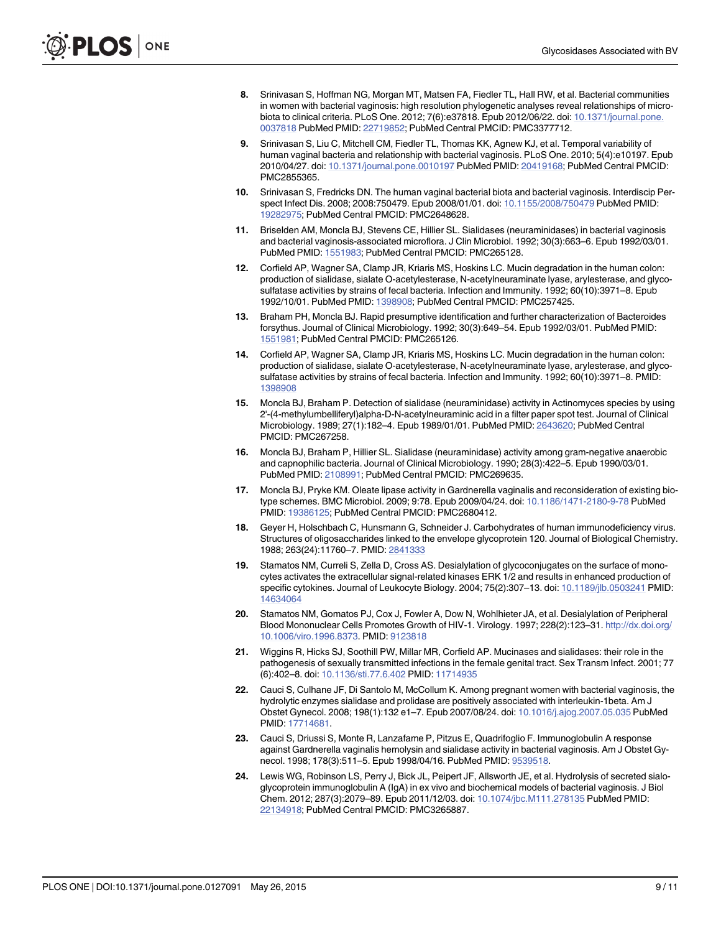- <span id="page-8-0"></span>[8.](#page-1-0) Srinivasan S, Hoffman NG, Morgan MT, Matsen FA, Fiedler TL, Hall RW, et al. Bacterial communities in women with bacterial vaginosis: high resolution phylogenetic analyses reveal relationships of microbiota to clinical criteria. PLoS One. 2012; 7(6):e37818. Epub 2012/06/22. doi: [10.1371/journal.pone.](http://dx.doi.org/10.1371/journal.pone.0037818) [0037818](http://dx.doi.org/10.1371/journal.pone.0037818) PubMed PMID: [22719852;](http://www.ncbi.nlm.nih.gov/pubmed/22719852) PubMed Central PMCID: PMC3377712.
- 9. Srinivasan S, Liu C, Mitchell CM, Fiedler TL, Thomas KK, Agnew KJ, et al. Temporal variability of human vaginal bacteria and relationship with bacterial vaginosis. PLoS One. 2010; 5(4):e10197. Epub 2010/04/27. doi: [10.1371/journal.pone.0010197](http://dx.doi.org/10.1371/journal.pone.0010197) PubMed PMID: [20419168](http://www.ncbi.nlm.nih.gov/pubmed/20419168); PubMed Central PMCID: PMC2855365.
- [10.](#page-1-0) Srinivasan S, Fredricks DN. The human vaginal bacterial biota and bacterial vaginosis. Interdiscip Perspect Infect Dis. 2008; 2008:750479. Epub 2008/01/01. doi: [10.1155/2008/750479](http://dx.doi.org/10.1155/2008/750479) PubMed PMID: [19282975](http://www.ncbi.nlm.nih.gov/pubmed/19282975); PubMed Central PMCID: PMC2648628.
- [11.](#page-1-0) Briselden AM, Moncla BJ, Stevens CE, Hillier SL. Sialidases (neuraminidases) in bacterial vaginosis and bacterial vaginosis-associated microflora. J Clin Microbiol. 1992; 30(3):663–6. Epub 1992/03/01. PubMed PMID: [1551983;](http://www.ncbi.nlm.nih.gov/pubmed/1551983) PubMed Central PMCID: PMC265128.
- [12.](#page-1-0) Corfield AP, Wagner SA, Clamp JR, Kriaris MS, Hoskins LC. Mucin degradation in the human colon: production of sialidase, sialate O-acetylesterase, N-acetylneuraminate lyase, arylesterase, and glycosulfatase activities by strains of fecal bacteria. Infection and Immunity. 1992; 60(10):3971–8. Epub 1992/10/01. PubMed PMID: [1398908](http://www.ncbi.nlm.nih.gov/pubmed/1398908); PubMed Central PMCID: PMC257425.
- [13.](#page-1-0) Braham PH, Moncla BJ. Rapid presumptive identification and further characterization of Bacteroides forsythus. Journal of Clinical Microbiology. 1992; 30(3):649–54. Epub 1992/03/01. PubMed PMID: [1551981;](http://www.ncbi.nlm.nih.gov/pubmed/1551981) PubMed Central PMCID: PMC265126.
- 14. Corfield AP, Wagner SA, Clamp JR, Kriaris MS, Hoskins LC. Mucin degradation in the human colon: production of sialidase, sialate O-acetylesterase, N-acetylneuraminate lyase, arylesterase, and glycosulfatase activities by strains of fecal bacteria. Infection and Immunity. 1992; 60(10):3971–8. PMID: [1398908](http://www.ncbi.nlm.nih.gov/pubmed/1398908)
- [15.](#page-3-0) Moncla BJ, Braham P. Detection of sialidase (neuraminidase) activity in Actinomyces species by using 2'-(4-methylumbelliferyl)alpha-D-N-acetylneuraminic acid in a filter paper spot test. Journal of Clinical Microbiology. 1989; 27(1):182–4. Epub 1989/01/01. PubMed PMID: [2643620;](http://www.ncbi.nlm.nih.gov/pubmed/2643620) PubMed Central PMCID: PMC267258.
- [16.](#page-4-0) Moncla BJ, Braham P, Hillier SL. Sialidase (neuraminidase) activity among gram-negative anaerobic and capnophilic bacteria. Journal of Clinical Microbiology. 1990; 28(3):422–5. Epub 1990/03/01. PubMed PMID: [2108991;](http://www.ncbi.nlm.nih.gov/pubmed/2108991) PubMed Central PMCID: PMC269635.
- [17.](#page-1-0) Moncla BJ, Pryke KM. Oleate lipase activity in Gardnerella vaginalis and reconsideration of existing biotype schemes. BMC Microbiol. 2009; 9:78. Epub 2009/04/24. doi: [10.1186/1471-2180-9-78](http://dx.doi.org/10.1186/1471-2180-9-78) PubMed PMID: [19386125;](http://www.ncbi.nlm.nih.gov/pubmed/19386125) PubMed Central PMCID: PMC2680412.
- [18.](#page-1-0) Geyer H, Holschbach C, Hunsmann G, Schneider J. Carbohydrates of human immunodeficiency virus. Structures of oligosaccharides linked to the envelope glycoprotein 120. Journal of Biological Chemistry. 1988; 263(24):11760–7. PMID: [2841333](http://www.ncbi.nlm.nih.gov/pubmed/2841333)
- [19.](#page-1-0) Stamatos NM, Curreli S, Zella D, Cross AS. Desialylation of glycoconjugates on the surface of monocytes activates the extracellular signal-related kinases ERK 1/2 and results in enhanced production of specific cytokines. Journal of Leukocyte Biology. 2004; 75(2):307–13. doi: [10.1189/jlb.0503241](http://dx.doi.org/10.1189/jlb.0503241) PMID: [14634064](http://www.ncbi.nlm.nih.gov/pubmed/14634064)
- 20. Stamatos NM, Gomatos PJ, Cox J, Fowler A, Dow N, Wohlhieter JA, et al. Desialylation of Peripheral Blood Mononuclear Cells Promotes Growth of HIV-1. Virology. 1997; 228(2):123–31. [http://dx.doi.org/](http://dx.doi.org/10.1006/viro.1996.8373) [10.1006/viro.1996.8373.](http://dx.doi.org/10.1006/viro.1996.8373) PMID: [9123818](http://www.ncbi.nlm.nih.gov/pubmed/9123818)
- [21.](#page-1-0) Wiggins R, Hicks SJ, Soothill PW, Millar MR, Corfield AP. Mucinases and sialidases: their role in the pathogenesis of sexually transmitted infections in the female genital tract. Sex Transm Infect. 2001; 77 (6):402–8. doi: [10.1136/sti.77.6.402](http://dx.doi.org/10.1136/sti.77.6.402) PMID: [11714935](http://www.ncbi.nlm.nih.gov/pubmed/11714935)
- [22.](#page-1-0) Cauci S, Culhane JF, Di Santolo M, McCollum K. Among pregnant women with bacterial vaginosis, the hydrolytic enzymes sialidase and prolidase are positively associated with interleukin-1beta. Am J Obstet Gynecol. 2008; 198(1):132 e1–7. Epub 2007/08/24. doi: [10.1016/j.ajog.2007.05.035](http://dx.doi.org/10.1016/j.ajog.2007.05.035) PubMed PMID: [17714681.](http://www.ncbi.nlm.nih.gov/pubmed/17714681)
- 23. Cauci S, Driussi S, Monte R, Lanzafame P, Pitzus E, Quadrifoglio F. Immunoglobulin A response against Gardnerella vaginalis hemolysin and sialidase activity in bacterial vaginosis. Am J Obstet Gynecol. 1998; 178(3):511–5. Epub 1998/04/16. PubMed PMID: [9539518.](http://www.ncbi.nlm.nih.gov/pubmed/9539518)
- [24.](#page-1-0) Lewis WG, Robinson LS, Perry J, Bick JL, Peipert JF, Allsworth JE, et al. Hydrolysis of secreted sialoglycoprotein immunoglobulin A (IgA) in ex vivo and biochemical models of bacterial vaginosis. J Biol Chem. 2012; 287(3):2079–89. Epub 2011/12/03. doi: [10.1074/jbc.M111.278135](http://dx.doi.org/10.1074/jbc.M111.278135) PubMed PMID: [22134918](http://www.ncbi.nlm.nih.gov/pubmed/22134918); PubMed Central PMCID: PMC3265887.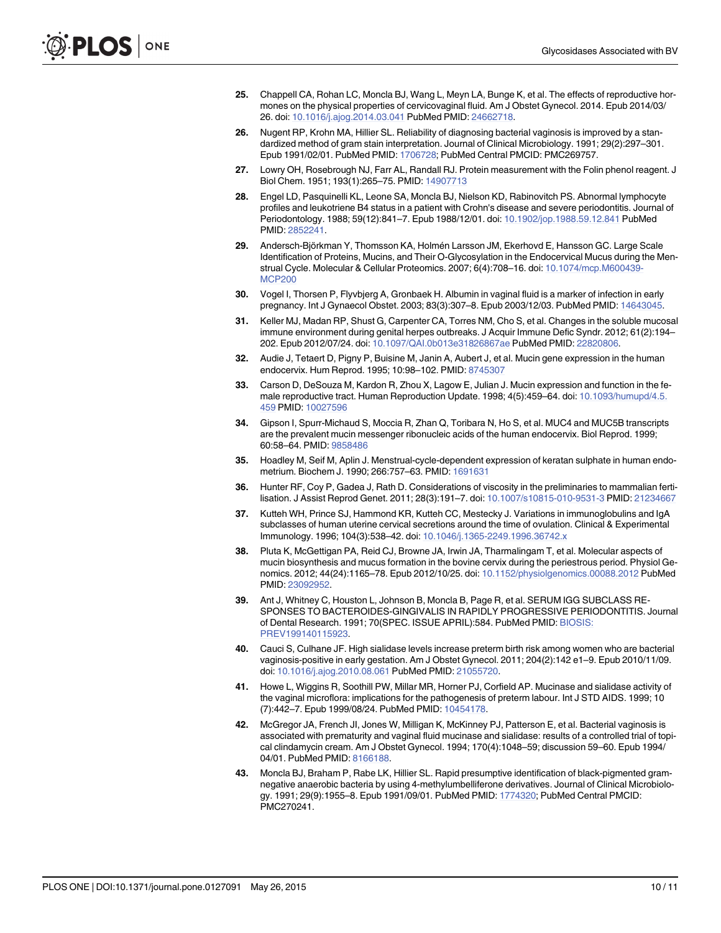- <span id="page-9-0"></span>[25.](#page-1-0) Chappell CA, Rohan LC, Moncla BJ, Wang L, Meyn LA, Bunge K, et al. The effects of reproductive hormones on the physical properties of cervicovaginal fluid. Am J Obstet Gynecol. 2014. Epub 2014/03/ 26. doi: [10.1016/j.ajog.2014.03.041](http://dx.doi.org/10.1016/j.ajog.2014.03.041) PubMed PMID: [24662718.](http://www.ncbi.nlm.nih.gov/pubmed/24662718)
- [26.](#page-2-0) Nugent RP, Krohn MA, Hillier SL. Reliability of diagnosing bacterial vaginosis is improved by a standardized method of gram stain interpretation. Journal of Clinical Microbiology. 1991; 29(2):297–301. Epub 1991/02/01. PubMed PMID: [1706728](http://www.ncbi.nlm.nih.gov/pubmed/1706728); PubMed Central PMCID: PMC269757.
- [27.](#page-2-0) Lowry OH, Rosebrough NJ, Farr AL, Randall RJ. Protein measurement with the Folin phenol reagent. J Biol Chem. 1951; 193(1):265–75. PMID: [14907713](http://www.ncbi.nlm.nih.gov/pubmed/14907713)
- [28.](#page-2-0) Engel LD, Pasquinelli KL, Leone SA, Moncla BJ, Nielson KD, Rabinovitch PS. Abnormal lymphocyte profiles and leukotriene B4 status in a patient with Crohn's disease and severe periodontitis. Journal of Periodontology. 1988; 59(12):841–7. Epub 1988/12/01. doi: [10.1902/jop.1988.59.12.841](http://dx.doi.org/10.1902/jop.1988.59.12.841) PubMed PMID: [2852241.](http://www.ncbi.nlm.nih.gov/pubmed/2852241)
- [29.](#page-2-0) Andersch-Björkman Y, Thomsson KA, Holmén Larsson JM, Ekerhovd E, Hansson GC. Large Scale Identification of Proteins, Mucins, and Their O-Glycosylation in the Endocervical Mucus during the Menstrual Cycle. Molecular & Cellular Proteomics. 2007; 6(4):708–16. doi: [10.1074/mcp.M600439-](http://dx.doi.org/10.1074/mcp.M600439-MCP200) [MCP200](http://dx.doi.org/10.1074/mcp.M600439-MCP200)
- 30. Vogel I, Thorsen P, Flyvbjerg A, Gronbaek H. Albumin in vaginal fluid is a marker of infection in early pregnancy. Int J Gynaecol Obstet. 2003; 83(3):307–8. Epub 2003/12/03. PubMed PMID: [14643045](http://www.ncbi.nlm.nih.gov/pubmed/14643045).
- [31.](#page-2-0) Keller MJ, Madan RP, Shust G, Carpenter CA, Torres NM, Cho S, et al. Changes in the soluble mucosal immune environment during genital herpes outbreaks. J Acquir Immune Defic Syndr. 2012; 61(2):194– 202. Epub 2012/07/24. doi: [10.1097/QAI.0b013e31826867ae](http://dx.doi.org/10.1097/QAI.0b013e31826867ae) PubMed PMID: [22820806](http://www.ncbi.nlm.nih.gov/pubmed/22820806).
- [32.](#page-3-0) Audie J, Tetaert D, Pigny P, Buisine M, Janin A, Aubert J, et al. Mucin gene expression in the human endocervix. Hum Reprod. 1995; 10:98–102. PMID: [8745307](http://www.ncbi.nlm.nih.gov/pubmed/8745307)
- 33. Carson D, DeSouza M, Kardon R, Zhou X, Lagow E, Julian J. Mucin expression and function in the fe-male reproductive tract. Human Reproduction Update. 1998; 4(5):459-64. doi: [10.1093/humupd/4.5.](http://dx.doi.org/10.1093/humupd/4.5.459) [459](http://dx.doi.org/10.1093/humupd/4.5.459) PMID: [10027596](http://www.ncbi.nlm.nih.gov/pubmed/10027596)
- 34. Gipson I, Spurr-Michaud S, Moccia R, Zhan Q, Toribara N, Ho S, et al. MUC4 and MUC5B transcripts are the prevalent mucin messenger ribonucleic acids of the human endocervix. Biol Reprod. 1999; 60:58–64. PMID: [9858486](http://www.ncbi.nlm.nih.gov/pubmed/9858486)
- 35. Hoadley M, Seif M, Aplin J. Menstrual-cycle-dependent expression of keratan sulphate in human endometrium. Biochem J. 1990; 266:757–63. PMID: [1691631](http://www.ncbi.nlm.nih.gov/pubmed/1691631)
- 36. Hunter RF, Coy P, Gadea J, Rath D. Considerations of viscosity in the preliminaries to mammalian ferti-lisation. J Assist Reprod Genet. 2011; 28(3):191-7. doi: [10.1007/s10815-010-9531-3](http://dx.doi.org/10.1007/s10815-010-9531-3) PMID: [21234667](http://www.ncbi.nlm.nih.gov/pubmed/21234667)
- 37. Kutteh WH, Prince SJ, Hammond KR, Kutteh CC, Mestecky J. Variations in immunoglobulins and IgA subclasses of human uterine cervical secretions around the time of ovulation. Clinical & Experimental Immunology. 1996; 104(3):538–42. doi: [10.1046/j.1365-2249.1996.36742.x](http://dx.doi.org/10.1046/j.1365-2249.1996.36742.x)
- [38.](#page-3-0) Pluta K, McGettigan PA, Reid CJ, Browne JA, Irwin JA, Tharmalingam T, et al. Molecular aspects of mucin biosynthesis and mucus formation in the bovine cervix during the periestrous period. Physiol Genomics. 2012; 44(24):1165–78. Epub 2012/10/25. doi: [10.1152/physiolgenomics.00088.2012](http://dx.doi.org/10.1152/physiolgenomics.00088.2012) PubMed PMID: [23092952.](http://www.ncbi.nlm.nih.gov/pubmed/23092952)
- [39.](#page-3-0) Ant J, Whitney C, Houston L, Johnson B, Moncla B, Page R, et al. SERUM IGG SUBCLASS RE-SPONSES TO BACTEROIDES-GINGIVALIS IN RAPIDLY PROGRESSIVE PERIODONTITIS. Journal of Dental Research. 1991; 70(SPEC. ISSUE APRIL):584. PubMed PMID: [BIOSIS:](http://www.ncbi.nlm.nih.gov/pubmed/BIOSIS:PREV199140115923) [PREV199140115923.](http://www.ncbi.nlm.nih.gov/pubmed/BIOSIS:PREV199140115923)
- [40.](#page-3-0) Cauci S, Culhane JF. High sialidase levels increase preterm birth risk among women who are bacterial vaginosis-positive in early gestation. Am J Obstet Gynecol. 2011; 204(2):142 e1–9. Epub 2010/11/09. doi: [10.1016/j.ajog.2010.08.061](http://dx.doi.org/10.1016/j.ajog.2010.08.061) PubMed PMID: [21055720](http://www.ncbi.nlm.nih.gov/pubmed/21055720).
- [41.](#page-3-0) Howe L, Wiggins R, Soothill PW, Millar MR, Horner PJ, Corfield AP. Mucinase and sialidase activity of the vaginal microflora: implications for the pathogenesis of preterm labour. Int J STD AIDS. 1999; 10 (7):442–7. Epub 1999/08/24. PubMed PMID: [10454178.](http://www.ncbi.nlm.nih.gov/pubmed/10454178)
- [42.](#page-3-0) McGregor JA, French JI, Jones W, Milligan K, McKinney PJ, Patterson E, et al. Bacterial vaginosis is associated with prematurity and vaginal fluid mucinase and sialidase: results of a controlled trial of topical clindamycin cream. Am J Obstet Gynecol. 1994; 170(4):1048–59; discussion 59–60. Epub 1994/ 04/01. PubMed PMID: [8166188](http://www.ncbi.nlm.nih.gov/pubmed/8166188).
- [43.](#page-3-0) Moncla BJ, Braham P, Rabe LK, Hillier SL. Rapid presumptive identification of black-pigmented gramnegative anaerobic bacteria by using 4-methylumbelliferone derivatives. Journal of Clinical Microbiology. 1991; 29(9):1955–8. Epub 1991/09/01. PubMed PMID: [1774320](http://www.ncbi.nlm.nih.gov/pubmed/1774320); PubMed Central PMCID: PMC270241.